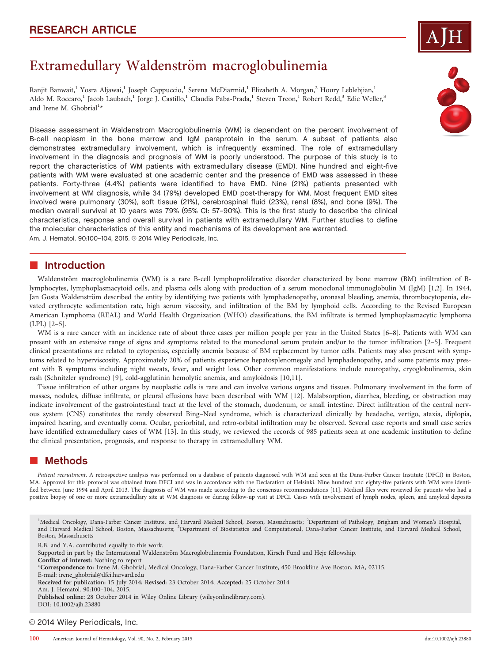# Extramedullary Waldenström macroglobulinemia

Ranjit Banwait,<sup>1</sup> Yosra Aljawai,<sup>1</sup> Joseph Cappuccio,<sup>1</sup> Serena McDiarmid,<sup>1</sup> Elizabeth A. Morgan,<sup>2</sup> Houry Leblebjian,<sup>1</sup> Aldo M. Roccaro,<sup>1</sup> Jacob Laubach,<sup>1</sup> Jorge J. Castillo,<sup>1</sup> Claudia Paba-Prada,<sup>1</sup> Steven Treon,<sup>1</sup> Robert Redd,<sup>3</sup> Edie Weller,<sup>3</sup> and Irene M. Ghobrial<sup>1</sup>\*

Disease assessment in Waldenstrom Macroglobulinemia (WM) is dependent on the percent involvement of B-cell neoplasm in the bone marrow and IgM paraprotein in the serum. A subset of patients also demonstrates extramedullary involvement, which is infrequently examined. The role of extramedullary involvement in the diagnosis and prognosis of WM is poorly understood. The purpose of this study is to report the characteristics of WM patients with extramedullary disease (EMD). Nine hundred and eight-five patients with WM were evaluated at one academic center and the presence of EMD was assessed in these patients. Forty-three (4.4%) patients were identified to have EMD. Nine (21%) patients presented with involvement at WM diagnosis, while 34 (79%) developed EMD post-therapy for WM. Most frequent EMD sites involved were pulmonary (30%), soft tissue (21%), cerebrospinal fluid (23%), renal (8%), and bone (9%). The median overall survival at 10 years was 79% (95% CI: 57–90%). This is the first study to describe the clinical characteristics, response and overall survival in patients with extramedullary WM. Further studies to define the molecular characteristics of this entity and mechanisms of its development are warranted. Am. J. Hematol. 90:100-104, 2015. © 2014 Wiley Periodicals, Inc.

# **n** Introduction

Waldenström macroglobulinemia (WM) is a rare B-cell lymphoproliferative disorder characterized by bone marrow (BM) infiltration of Blymphocytes, lymphoplasmacytoid cells, and plasma cells along with production of a serum monoclonal immunoglobulin M (IgM) [1,2]. In 1944, Jan Gosta Waldenström described the entity by identifying two patients with lymphadenopathy, oronasal bleeding, anemia, thrombocytopenia, elevated erythrocyte sedimentation rate, high serum viscosity, and infiltration of the BM by lymphoid cells. According to the Revised European American Lymphoma (REAL) and World Health Organization (WHO) classifications, the BM infiltrate is termed lymphoplasmacytic lymphoma (LPL) [2–5].

WM is a rare cancer with an incidence rate of about three cases per million people per year in the United States [6–8]. Patients with WM can present with an extensive range of signs and symptoms related to the monoclonal serum protein and/or to the tumor infiltration [2–5]. Frequent clinical presentations are related to cytopenias, especially anemia because of BM replacement by tumor cells. Patients may also present with symptoms related to hyperviscosity. Approximately 20% of patients experience hepatosplenomegaly and lymphadenopathy, and some patients may present with B symptoms including night sweats, fever, and weight loss. Other common manifestations include neuropathy, cryoglobulinemia, skin rash (Schnitzler syndrome) [9], cold-agglutinin hemolytic anemia, and amyloidosis [10,11].

Tissue infiltration of other organs by neoplastic cells is rare and can involve various organs and tissues. Pulmonary involvement in the form of masses, nodules, diffuse infiltrate, or pleural effusions have been described with WM [12]. Malabsorption, diarrhea, bleeding, or obstruction may indicate involvement of the gastrointestinal tract at the level of the stomach, duodenum, or small intestine. Direct infiltration of the central nervous system (CNS) constitutes the rarely observed Bing–Neel syndrome, which is characterized clinically by headache, vertigo, ataxia, diplopia, impaired hearing, and eventually coma. Ocular, periorbital, and retro-orbital infiltration may be observed. Several case reports and small case series have identified extramedullary cases of WM [13]. In this study, we reviewed the records of 985 patients seen at one academic institution to define the clinical presentation, prognosis, and response to therapy in extramedullary WM.

#### -Methods

Patient recruitment. A retrospective analysis was performed on a database of patients diagnosed with WM and seen at the Dana-Farber Cancer Institute (DFCI) in Boston, MA. Approval for this protocol was obtained from DFCI and was in accordance with the Declaration of Helsinki. Nine hundred and eighty-five patients with WM were identified between June 1994 and April 2013. The diagnosis of WM was made according to the consensus recommendations [11]. Medical files were reviewed for patients who had a positive biopsy of one or more extramedullary site at WM diagnosis or during follow-up visit at DFCI. Cases with involvement of lymph nodes, spleen, and amyloid deposits

<sup>1</sup>Medical Oncology, Dana-Farber Cancer Institute, and Harvard Medical School, Boston, Massachusetts; <sup>2</sup>Department of Pathology, Brigham and Women's Hospital, and Harvard Medical School, Boston, Massachusetts; <sup>3</sup>Department of Biostatistics and Computational, Dana-Farber Cancer Institute, and Harvard Medical School, Boston, Massachusetts

R.B. and Y.A. contributed equally to this work.

Supported in part by the International Waldenström Macroglobulinemia Foundation, Kirsch Fund and Heje fellowship.

Conflict of interest: Nothing to report

\*Correspondence to: Irene M. Ghobrial; Medical Oncology, Dana-Farber Cancer Institute, 450 Brookline Ave Boston, MA, 02115.

- E-mail: irene\_ghobrial@dfci.harvard.edu Received for publication: 15 July 2014; Revised: 23 October 2014; Accepted: 25 October 2014
- Am. J. Hematol. 90:100–104, 2015.

Published online: 28 October 2014 in Wiley Online Library (wileyonlinelibrary.com).

DOI: 10.1002/ajh.23880

### © 2014 Wiley Periodicals, Inc.

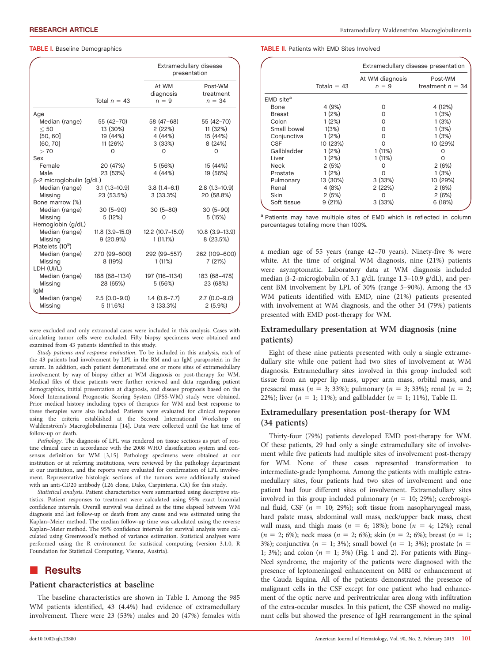#### **TABLE I.** Baseline Demographics

|                                 |                  | Extramedullary disease<br>presentation |                                  |
|---------------------------------|------------------|----------------------------------------|----------------------------------|
|                                 | Total $n = 43$   | At WM<br>diagnosis<br>$n = 9$          | Post-WM<br>treatment<br>$n = 34$ |
| Age                             |                  |                                        |                                  |
| Median (range)                  | 55 (42-70)       | 58 (47-68)                             | 55 (42-70)                       |
| < 50                            | 13 (30%)         | 2(22%)                                 | 11(32%)                          |
| (50, 60]                        | 19 (44%)         | 4 (44%)                                | 15 (44%)                         |
| (60, 70)                        | 11 (26%)         | 3(33%)                                 | 8 (24%)                          |
| >70                             | O                | O                                      | ი                                |
| Sex                             |                  |                                        |                                  |
| Female                          | 20 (47%)         | 5 (56%)                                | 15 (44%)                         |
| Male                            | 23 (53%)         | 4 (44%)                                | 19 (56%)                         |
| $\beta$ -2 microglobulin (g/dL) |                  |                                        |                                  |
| Median (range)                  | $3.1(1.3-10.9)$  | $3.8(1.4-6.1)$                         | $2.8(1.3-10.9)$                  |
| Missing                         | 23 (53.5%)       | 3(33.3%)                               | 20 (58.8%)                       |
| Bone marrow (%)                 |                  |                                        |                                  |
| Median (range)                  | $30(5-90)$       | $30(5 - 80)$                           | $30(5-90)$                       |
| Missing                         | 5 (12%)          | O                                      | 5(15%)                           |
| Hemoglobin (g/dL)               |                  |                                        |                                  |
| Median (range)                  | $11.8(3.9-15.0)$ | 12.2 (10.7-15.0)                       | $10.8(3.9-13.9)$                 |
| Missing                         | 9(20.9%)         | $1(11.1\%)$                            | 8 (23.5%)                        |
| Platelets (10 <sup>9</sup> )    |                  |                                        |                                  |
| Median (range)                  | 270 (99-600)     | 292 (99-557)                           | 262 (109-600)                    |
| Missing                         | 8 (19%)          | $1(11\%)$                              | 7(21%)                           |
| LDH (UI/L)                      |                  |                                        |                                  |
| Median (range)                  | 188 (68-1134)    | 197 (116-1134)                         | 183 (68-478)                     |
| Missing                         | 28 (65%)         | 5 (56%)                                | 23 (68%)                         |
| lgM                             |                  |                                        |                                  |
| Median (range)                  | $2.5(0.0-9.0)$   | $1.4(0.6 - 7.7)$                       | $2.7(0.0-9.0)$                   |
| Missing                         | 5(11.6%)         | 3(33.3%)                               | 2(5.9%)                          |

were excluded and only extranodal cases were included in this analysis. Cases with circulating tumor cells were excluded. Fifty biopsy specimens were obtained and examined from 43 patients identified in this study.

Study patients and response evaluation. To be included in this analysis, each of the 43 patients had involvement by LPL in the BM and an IgM paraprotein in the serum. In addition, each patient demonstrated one or more sites of extramedullary involvement by way of biopsy either at WM diagnosis or post-therapy for WM. Medical files of these patients were further reviewed and data regarding patient demographics, initial presentation at diagnosis, and disease prognosis based on the Morel International Prognostic Scoring System (IPSS-WM) study were obtained. Prior medical history including types of therapies for WM and best response to these therapies were also included. Patients were evaluated for clinical response using the criteria established at the Second International Workshop on Waldenström's Macroglobulinemia [14]. Data were collected until the last time of follow-up or death.

Pathology. The diagnosis of LPL was rendered on tissue sections as part of routine clinical care in accordance with the 2008 WHO classification system and consensus definition for WM [3,15]. Pathology specimens were obtained at our institution or at referring institutions, were reviewed by the pathology department at our institution, and the reports were evaluated for confirmation of LPL involvement. Representative histologic sections of the tumors were additionally stained with an anti-CD20 antibody (L26 clone, Dako, Carpinteria, CA) for this study.

Statistical analysis. Patient characteristics were summarized using descriptive statistics. Patient responses to treatment were calculated using 95% exact binomial confidence intervals. Overall survival was defined as the time elapsed between WM diagnosis and last follow-up or death from any cause and was estimated using the Kaplan–Meier method. The median follow-up time was calculated using the reverse Kaplan–Meier method. The 95% confidence intervals for survival analysis were calculated using Greenwood's method of variance estimation. Statistical analyses were performed using the R environment for statistical computing (version 3.1.0, R Foundation for Statistical Computing, Vienna, Austria).

# **Results**

#### Patient characteristics at baseline

The baseline characteristics are shown in Table I. Among the 985 WM patients identified, 43 (4.4%) had evidence of extramedullary involvement. There were 23 (53%) males and 20 (47%) females with TABLE II. Patients with EMD Sites Involved

|                       |               | Extramedullary disease presentation |                               |
|-----------------------|---------------|-------------------------------------|-------------------------------|
|                       | Totaln = $43$ | At WM diagnosis<br>$n = 9$          | Post-WM<br>treatment $n = 34$ |
| EMD site <sup>a</sup> |               |                                     |                               |
| Bone                  | 4 (9%)        | O                                   | 4 (12%)                       |
| Breast                | 1(2%)         | O                                   | 1(3%)                         |
| Colon                 | 1(2%)         | O                                   | 1(3%)                         |
| Small bowel           | 1(3%)         | O                                   | 1(3%)                         |
| Conjunctiva           | 1(2%)         | O                                   | 1(3%)                         |
| <b>CSF</b>            | 10 (23%)      | ∩                                   | 10 (29%)                      |
| Gallbladder           | 1(2%)         | 1(11%)                              | O                             |
| Liver                 | 1(2%)         | $1(11\%)$                           |                               |
| Neck                  | 2(5%)         | 0                                   | 2(6%)                         |
| Prostate              | 1(2%)         | ∩                                   | 1(3%)                         |
| Pulmonary             | 13 (30%)      | 3(33%)                              | 10 (29%)                      |
| Renal                 | 4 (8%)        | 2(22%)                              | 2(6%)                         |
| Skin                  | 2(5%)         | $\mathbf{\Omega}$                   | 2(6%)                         |
| Soft tissue           | 9(21%)        | 3(33%)                              | 6 (18%)                       |

a Patients may have multiple sites of EMD which is reflected in column percentages totaling more than 100%.

a median age of 55 years (range 42–70 years). Ninety-five % were white. At the time of original WM diagnosis, nine (21%) patients were asymptomatic. Laboratory data at WM diagnosis included median b-2-microglobulin of 3.1 g/dL (range 1.3–10.9 g/dL), and percent BM involvement by LPL of 30% (range 5–90%). Among the 43 WM patients identified with EMD, nine (21%) patients presented with involvement at WM diagnosis, and the other 34 (79%) patients presented with EMD post-therapy for WM.

#### Extramedullary presentation at WM diagnosis (nine patients)

Eight of these nine patients presented with only a single extramedullary site while one patient had two sites of involvement at WM diagnosis. Extramedullary sites involved in this group included soft tissue from an upper lip mass, upper arm mass, orbital mass, and presacral mass ( $n = 3$ ; 33%); pulmonary ( $n = 3$ ; 33%); renal ( $n = 2$ ; 22%); liver ( $n = 1$ ; 11%); and gallbladder ( $n = 1$ ; 11%), Table II.

### Extramedullary presentation post-therapy for WM (34 patients)

Thirty-four (79%) patients developed EMD post-therapy for WM. Of these patients, 29 had only a single extramedullary site of involvement while five patients had multiple sites of involvement post-therapy for WM. None of these cases represented transformation to intermediate-grade lymphoma. Among the patients with multiple extramedullary sites, four patients had two sites of involvement and one patient had four different sites of involvement. Extramedullary sites involved in this group included pulmonary ( $n = 10$ ; 29%); cerebrospinal fluid, CSF ( $n = 10$ ; 29%); soft tissue from nasopharyngeal mass, hard palate mass, abdominal wall mass, neck/upper back mass, chest wall mass, and thigh mass ( $n = 6$ ; 18%); bone ( $n = 4$ ; 12%); renal  $(n = 2; 6\%)$ ; neck mass  $(n = 2; 6\%)$ ; skin  $(n = 2; 6\%)$ ; breast  $(n = 1;$ 3%); conjunctiva ( $n = 1$ ; 3%); small bowel ( $n = 1$ ; 3%); prostate ( $n = 5$ 1; 3%); and colon ( $n = 1$ ; 3%) (Fig. 1 and 2). For patients with Bing– Neel syndrome, the majority of the patients were diagnosed with the presence of leptomeningeal enhancement on MRI or enhancement at the Cauda Equina. All of the patients demonstrated the presence of malignant cells in the CSF except for one patient who had enhancement of the optic nerve and periventricular area along with infiltration of the extra-occular muscles. In this patient, the CSF showed no malignant cells but showed the presence of IgH rearrangement in the spinal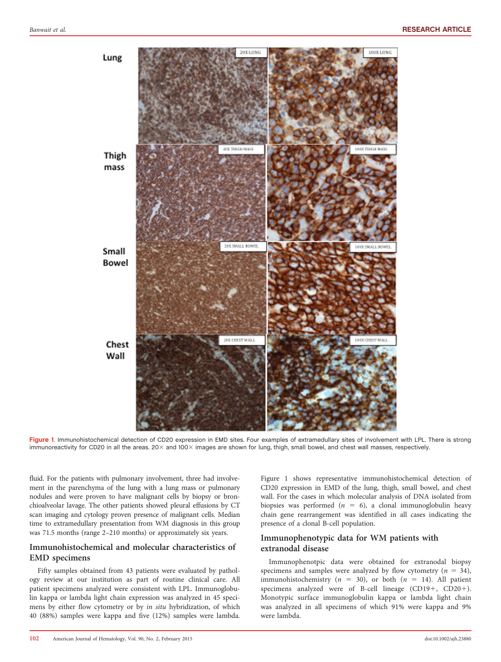

Figure 1. Immunohistochemical detection of CD20 expression in EMD sites. Four examples of extramedullary sites of involvement with LPL. There is strong immunoreactivity for CD20 in all the areas. 20× and 100× images are shown for lung, thigh, small bowel, and chest wall masses, respectively.

fluid. For the patients with pulmonary involvement, three had involvement in the parenchyma of the lung with a lung mass or pulmonary nodules and were proven to have malignant cells by biopsy or bronchioalveolar lavage. The other patients showed pleural effusions by CT scan imaging and cytology proven presence of malignant cells. Median time to extramedullary presentation from WM diagnosis in this group was 71.5 months (range 2–210 months) or approximately six years.

### Immunohistochemical and molecular characteristics of EMD specimens

Fifty samples obtained from 43 patients were evaluated by pathology review at our institution as part of routine clinical care. All patient specimens analyzed were consistent with LPL. Immunoglobulin kappa or lambda light chain expression was analyzed in 45 specimens by either flow cytometry or by in situ hybridization, of which 40 (88%) samples were kappa and five (12%) samples were lambda. Figure 1 shows representative immunohistochemical detection of CD20 expression in EMD of the lung, thigh, small bowel, and chest wall. For the cases in which molecular analysis of DNA isolated from biopsies was performed ( $n = 6$ ), a clonal immunoglobulin heavy chain gene rearrangement was identified in all cases indicating the presence of a clonal B-cell population.

### Immunophenotypic data for WM patients with extranodal disease

Immunophenotpic data were obtained for extranodal biopsy specimens and samples were analyzed by flow cytometry ( $n = 34$ ), immunohistochemistry ( $n = 30$ ), or both ( $n = 14$ ). All patient specimens analyzed were of B-cell lineage  $(CD19+$ ,  $CD20+$ ). Monotypic surface immunoglobulin kappa or lambda light chain was analyzed in all specimens of which 91% were kappa and 9% were lambda.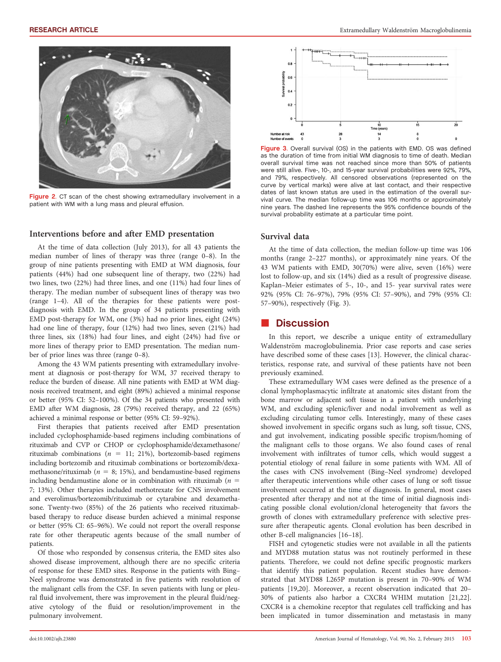

Figure 2. CT scan of the chest showing extramedullary involvement in a patient with WM with a lung mass and pleural effusion.

#### Interventions before and after EMD presentation

At the time of data collection (July 2013), for all 43 patients the median number of lines of therapy was three (range 0–8). In the group of nine patients presenting with EMD at WM diagnosis, four patients (44%) had one subsequent line of therapy, two (22%) had two lines, two (22%) had three lines, and one (11%) had four lines of therapy. The median number of subsequent lines of therapy was two (range 1–4). All of the therapies for these patients were postdiagnosis with EMD. In the group of 34 patients presenting with EMD post-therapy for WM, one (3%) had no prior lines, eight (24%) had one line of therapy, four (12%) had two lines, seven (21%) had three lines, six (18%) had four lines, and eight (24%) had five or more lines of therapy prior to EMD presentation. The median number of prior lines was three (range 0–8).

Among the 43 WM patients presenting with extramedullary involvement at diagnosis or post-therapy for WM, 37 received therapy to reduce the burden of disease. All nine patients with EMD at WM diagnosis received treatment, and eight (89%) achieved a minimal response or better (95% CI: 52–100%). Of the 34 patients who presented with EMD after WM diagnosis, 28 (79%) received therapy, and 22 (65%) achieved a minimal response or better (95% CI: 59–92%).

First therapies that patients received after EMD presentation included cyclophosphamide-based regimens including combinations of rituximab and CVP or CHOP or cyclophosphamide/dexamethasone/ rituximab combinations ( $n = 11$ ; 21%), bortezomib-based regimens including bortezomib and rituximab combinations or bortezomib/dexamethasone/rituximab ( $n = 8$ ; 15%), and bendamustine-based regimens including bendamustine alone or in combination with rituximab ( $n =$ 7; 13%). Other therapies included methotrexate for CNS involvement and everolimus/bortezomib/rituximab or cytarabine and dexamethasone. Twenty-two (85%) of the 26 patients who received rituximabbased therapy to reduce disease burden achieved a minimal response or better (95% CI: 65–96%). We could not report the overall response rate for other therapeutic agents because of the small number of patients.

Of those who responded by consensus criteria, the EMD sites also showed disease improvement, although there are no specific criteria of response for these EMD sites. Response in the patients with Bing– Neel syndrome was demonstrated in five patients with resolution of the malignant cells from the CSF. In seven patients with lung or pleural fluid involvement, there was improvement in the pleural fluid/negative cytology of the fluid or resolution/improvement in the pulmonary involvement.



Figure 3. Overall survival (OS) in the patients with EMD. OS was defined as the duration of time from initial WM diagnosis to time of death. Median overall survival time was not reached since more than 50% of patients were still alive. Five-, 10-, and 15-year survival probabilities were 92%, 79%, and 79%, respectively. All censored observations (represented on the curve by vertical marks) were alive at last contact, and their respective dates of last known status are used in the estimation of the overall survival curve. The median follow-up time was 106 months or approximately nine years. The dashed line represents the 95% confidence bounds of the survival probability estimate at a particular time point.

#### Survival data

At the time of data collection, the median follow-up time was 106 months (range 2–227 months), or approximately nine years. Of the 43 WM patients with EMD, 30(70%) were alive, seven (16%) were lost to follow-up, and six (14%) died as a result of progressive disease. Kaplan–Meier estimates of 5-, 10-, and 15- year survival rates were 92% (95% CI: 76–97%), 79% (95% CI: 57–90%), and 79% (95% CI: 57–90%), respectively (Fig. 3).

# **Discussion**

In this report, we describe a unique entity of extramedullary Waldenström macroglobulinemia. Prior case reports and case series have described some of these cases [13]. However, the clinical characteristics, response rate, and survival of these patients have not been previously examined.

These extramedullary WM cases were defined as the presence of a clonal lymphoplasmacytic infiltrate at anatomic sites distant from the bone marrow or adjacent soft tissue in a patient with underlying WM, and excluding splenic/liver and nodal involvement as well as excluding circulating tumor cells. Interestingly, many of these cases showed involvement in specific organs such as lung, soft tissue, CNS, and gut involvement, indicating possible specific tropism/homing of the malignant cells to those organs. We also found cases of renal involvement with infiltrates of tumor cells, which would suggest a potential etiology of renal failure in some patients with WM. All of the cases with CNS involvement (Bing–Neel syndrome) developed after therapeutic interventions while other cases of lung or soft tissue involvement occurred at the time of diagnosis. In general, most cases presented after therapy and not at the time of initial diagnosis indicating possible clonal evolution/clonal heterogeneity that favors the growth of clones with extramedullary preference with selective pressure after therapeutic agents. Clonal evolution has been described in other B-cell malignancies [16–18].

FISH and cytogenetic studies were not available in all the patients and MYD88 mutation status was not routinely performed in these patients. Therefore, we could not define specific prognostic markers that identify this patient population. Recent studies have demonstrated that MYD88 L265P mutation is present in 70–90% of WM patients [19,20]. Moreover, a recent observation indicated that 20– 30% of patients also harbor a CXCR4 WHIM mutation [21,22]. CXCR4 is a chemokine receptor that regulates cell trafficking and has been implicated in tumor dissemination and metastasis in many